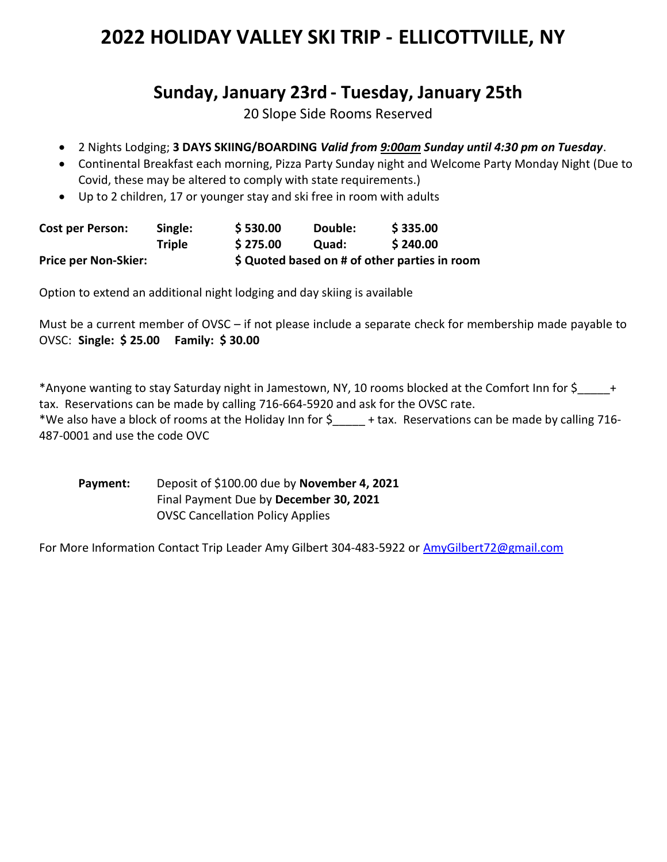## 2022 HOLIDAY VALLEY SKI TRIP - ELLICOTTVILLE, NY

## Sunday, January 23rd - Tuesday, January 25th

20 Slope Side Rooms Reserved

- 2 Nights Lodging; 3 DAYS SKIING/BOARDING Valid from 9:00am Sunday until 4:30 pm on Tuesday.
- Continental Breakfast each morning, Pizza Party Sunday night and Welcome Party Monday Night (Due to Covid, these may be altered to comply with state requirements.)
- Up to 2 children, 17 or younger stay and ski free in room with adults

| <b>Cost per Person:</b>     | Single:       | \$530.00                                      | Double: | \$335.00 |
|-----------------------------|---------------|-----------------------------------------------|---------|----------|
|                             | <b>Triple</b> | \$275.00                                      | Ouad:   | \$240.00 |
| <b>Price per Non-Skier:</b> |               | \$ Quoted based on # of other parties in room |         |          |

Option to extend an additional night lodging and day skiing is available

Must be a current member of OVSC – if not please include a separate check for membership made payable to OVSC: Single: \$ 25.00 Family: \$ 30.00

\*Anyone wanting to stay Saturday night in Jamestown, NY, 10 rooms blocked at the Comfort Inn for \$\_\_\_\_\_+ tax. Reservations can be made by calling 716-664-5920 and ask for the OVSC rate.

\*We also have a block of rooms at the Holiday Inn for \$\_\_\_\_\_ + tax. Reservations can be made by calling 716- 487-0001 and use the code OVC

Payment: Deposit of \$100.00 due by November 4, 2021 Final Payment Due by December 30, 2021 OVSC Cancellation Policy Applies

For More Information Contact Trip Leader Amy Gilbert 304-483-5922 or AmyGilbert72@gmail.com